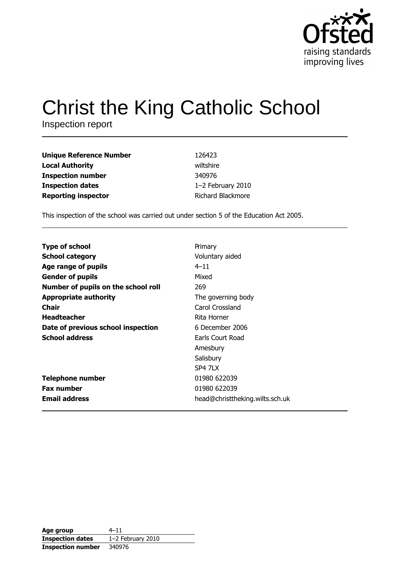

# **Christ the King Catholic School**

Inspection report

| <b>Unique Reference Number</b> | 126423            |
|--------------------------------|-------------------|
| <b>Local Authority</b>         | wiltshire         |
| <b>Inspection number</b>       | 340976            |
| <b>Inspection dates</b>        | 1-2 February 2010 |
| <b>Reporting inspector</b>     | Richard Blackmore |

This inspection of the school was carried out under section 5 of the Education Act 2005.

| <b>Type of school</b>               | Primary                         |
|-------------------------------------|---------------------------------|
|                                     |                                 |
| <b>School category</b>              | Voluntary aided                 |
| Age range of pupils                 | $4 - 11$                        |
| <b>Gender of pupils</b>             | Mixed                           |
| Number of pupils on the school roll | 269                             |
| <b>Appropriate authority</b>        | The governing body              |
| Chair                               | Carol Crossland                 |
| <b>Headteacher</b>                  | Rita Horner                     |
| Date of previous school inspection  | 6 December 2006                 |
| <b>School address</b>               | Earls Court Road                |
|                                     | Amesbury                        |
|                                     | Salisbury                       |
|                                     | <b>SP4 7LX</b>                  |
| <b>Telephone number</b>             | 01980 622039                    |
| <b>Fax number</b>                   | 01980 622039                    |
| <b>Email address</b>                | head@christtheking.wilts.sch.uk |

| Age group                | $4 - 11$            |
|--------------------------|---------------------|
| <b>Inspection dates</b>  | $1-2$ February 2010 |
| <b>Inspection number</b> | 340976              |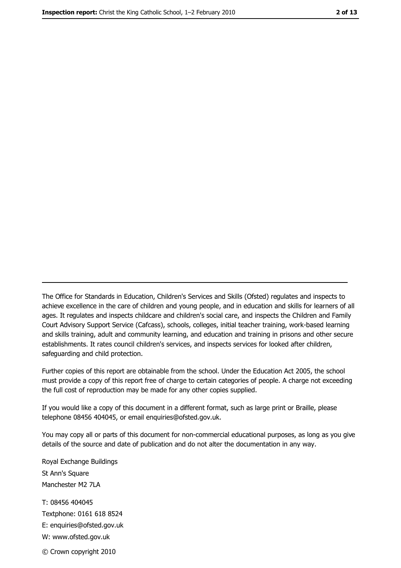The Office for Standards in Education, Children's Services and Skills (Ofsted) regulates and inspects to achieve excellence in the care of children and young people, and in education and skills for learners of all ages. It regulates and inspects childcare and children's social care, and inspects the Children and Family Court Advisory Support Service (Cafcass), schools, colleges, initial teacher training, work-based learning and skills training, adult and community learning, and education and training in prisons and other secure establishments. It rates council children's services, and inspects services for looked after children, safequarding and child protection.

Further copies of this report are obtainable from the school. Under the Education Act 2005, the school must provide a copy of this report free of charge to certain categories of people. A charge not exceeding the full cost of reproduction may be made for any other copies supplied.

If you would like a copy of this document in a different format, such as large print or Braille, please telephone 08456 404045, or email enquiries@ofsted.gov.uk.

You may copy all or parts of this document for non-commercial educational purposes, as long as you give details of the source and date of publication and do not alter the documentation in any way.

Royal Exchange Buildings St Ann's Square Manchester M2 7LA T: 08456 404045 Textphone: 0161 618 8524 E: enquiries@ofsted.gov.uk W: www.ofsted.gov.uk © Crown copyright 2010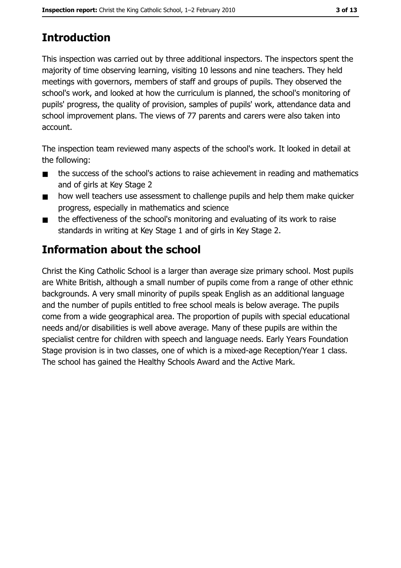# **Introduction**

This inspection was carried out by three additional inspectors. The inspectors spent the majority of time observing learning, visiting 10 lessons and nine teachers. They held meetings with governors, members of staff and groups of pupils. They observed the school's work, and looked at how the curriculum is planned, the school's monitoring of pupils' progress, the quality of provision, samples of pupils' work, attendance data and school improvement plans. The views of 77 parents and carers were also taken into account.

The inspection team reviewed many aspects of the school's work. It looked in detail at the following:

- the success of the school's actions to raise achievement in reading and mathematics  $\blacksquare$ and of girls at Key Stage 2
- how well teachers use assessment to challenge pupils and help them make quicker  $\blacksquare$ progress, especially in mathematics and science
- the effectiveness of the school's monitoring and evaluating of its work to raise  $\blacksquare$ standards in writing at Key Stage 1 and of girls in Key Stage 2.

# Information about the school

Christ the King Catholic School is a larger than average size primary school. Most pupils are White British, although a small number of pupils come from a range of other ethnic backgrounds. A very small minority of pupils speak English as an additional language and the number of pupils entitled to free school meals is below average. The pupils come from a wide geographical area. The proportion of pupils with special educational needs and/or disabilities is well above average. Many of these pupils are within the specialist centre for children with speech and language needs. Early Years Foundation Stage provision is in two classes, one of which is a mixed-age Reception/Year 1 class. The school has gained the Healthy Schools Award and the Active Mark.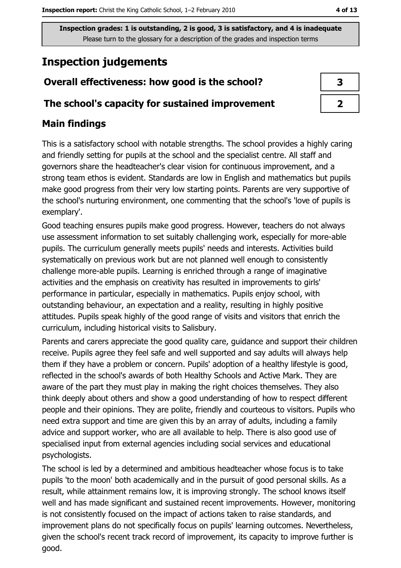Inspection grades: 1 is outstanding, 2 is good, 3 is satisfactory, and 4 is inadequate Please turn to the glossary for a description of the grades and inspection terms

# **Inspection judgements**

# Overall effectiveness: how good is the school?

## The school's capacity for sustained improvement

## **Main findings**

This is a satisfactory school with notable strengths. The school provides a highly caring and friendly setting for pupils at the school and the specialist centre. All staff and governors share the headteacher's clear vision for continuous improvement, and a strong team ethos is evident. Standards are low in English and mathematics but pupils make good progress from their very low starting points. Parents are very supportive of the school's nurturing environment, one commenting that the school's 'love of pupils is exemplary'.

Good teaching ensures pupils make good progress. However, teachers do not always use assessment information to set suitably challenging work, especially for more-able pupils. The curriculum generally meets pupils' needs and interests. Activities build systematically on previous work but are not planned well enough to consistently challenge more-able pupils. Learning is enriched through a range of imaginative activities and the emphasis on creativity has resulted in improvements to girls' performance in particular, especially in mathematics. Pupils enjoy school, with outstanding behaviour, an expectation and a reality, resulting in highly positive attitudes. Pupils speak highly of the good range of visits and visitors that enrich the curriculum, including historical visits to Salisbury.

Parents and carers appreciate the good quality care, guidance and support their children receive. Pupils agree they feel safe and well supported and say adults will always help them if they have a problem or concern. Pupils' adoption of a healthy lifestyle is good, reflected in the school's awards of both Healthy Schools and Active Mark. They are aware of the part they must play in making the right choices themselves. They also think deeply about others and show a good understanding of how to respect different people and their opinions. They are polite, friendly and courteous to visitors. Pupils who need extra support and time are given this by an array of adults, including a family advice and support worker, who are all available to help. There is also good use of specialised input from external agencies including social services and educational psychologists.

The school is led by a determined and ambitious headteacher whose focus is to take pupils 'to the moon' both academically and in the pursuit of good personal skills. As a result, while attainment remains low, it is improving strongly. The school knows itself well and has made significant and sustained recent improvements. However, monitoring is not consistently focused on the impact of actions taken to raise standards, and improvement plans do not specifically focus on pupils' learning outcomes. Nevertheless, given the school's recent track record of improvement, its capacity to improve further is good.

| 3 |
|---|
|   |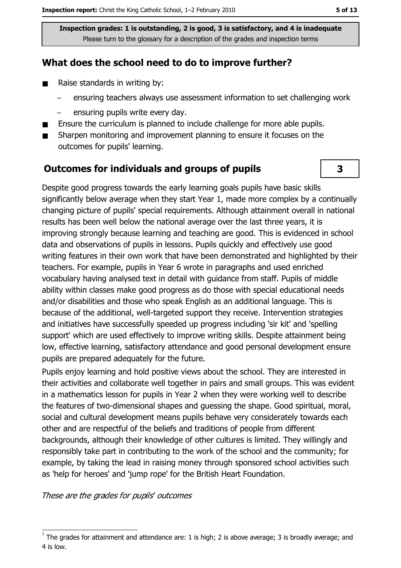Inspection grades: 1 is outstanding, 2 is good, 3 is satisfactory, and 4 is inadequate Please turn to the glossary for a description of the grades and inspection terms

## What does the school need to do to improve further?

- $\blacksquare$ Raise standards in writing by:
	- ensuring teachers always use assessment information to set challenging work
	- ensuring pupils write every day.
- Ensure the curriculum is planned to include challenge for more able pupils.  $\blacksquare$
- Sharpen monitoring and improvement planning to ensure it focuses on the  $\blacksquare$ outcomes for pupils' learning.

#### **Outcomes for individuals and groups of pupils**

Despite good progress towards the early learning goals pupils have basic skills significantly below average when they start Year 1, made more complex by a continually changing picture of pupils' special requirements. Although attainment overall in national results has been well below the national average over the last three years, it is improving strongly because learning and teaching are good. This is evidenced in school data and observations of pupils in lessons. Pupils quickly and effectively use good writing features in their own work that have been demonstrated and highlighted by their teachers. For example, pupils in Year 6 wrote in paragraphs and used enriched vocabulary having analysed text in detail with guidance from staff. Pupils of middle ability within classes make good progress as do those with special educational needs and/or disabilities and those who speak English as an additional language. This is because of the additional, well-targeted support they receive. Intervention strategies and initiatives have successfully speeded up progress including 'sir kit' and 'spelling support' which are used effectively to improve writing skills. Despite attainment being low, effective learning, satisfactory attendance and good personal development ensure pupils are prepared adequately for the future.

Pupils enjoy learning and hold positive views about the school. They are interested in their activities and collaborate well together in pairs and small groups. This was evident in a mathematics lesson for pupils in Year 2 when they were working well to describe the features of two-dimensional shapes and quessing the shape. Good spiritual, moral, social and cultural development means pupils behave very considerately towards each other and are respectful of the beliefs and traditions of people from different backgrounds, although their knowledge of other cultures is limited. They willingly and responsibly take part in contributing to the work of the school and the community; for example, by taking the lead in raising money through sponsored school activities such as 'help for heroes' and 'jump rope' for the British Heart Foundation.

These are the grades for pupils' outcomes

3

The grades for attainment and attendance are: 1 is high; 2 is above average; 3 is broadly average; and 4 is low.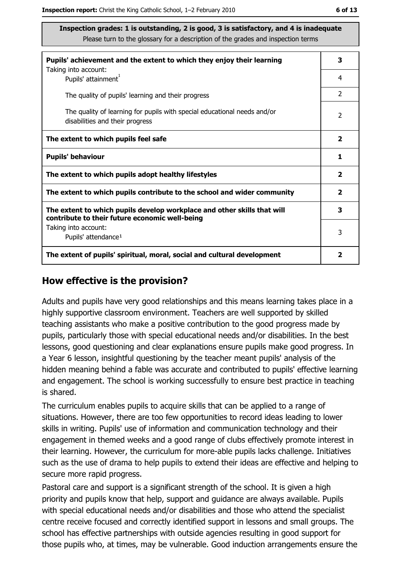Inspection grades: 1 is outstanding, 2 is good, 3 is satisfactory, and 4 is inadequate Please turn to the glossary for a description of the grades and inspection terms

| Pupils' achievement and the extent to which they enjoy their learning                                                     |                |  |
|---------------------------------------------------------------------------------------------------------------------------|----------------|--|
| Taking into account:<br>Pupils' attainment <sup>1</sup>                                                                   | 4              |  |
| The quality of pupils' learning and their progress                                                                        | $\overline{2}$ |  |
| The quality of learning for pupils with special educational needs and/or<br>disabilities and their progress               |                |  |
| The extent to which pupils feel safe                                                                                      |                |  |
| <b>Pupils' behaviour</b>                                                                                                  |                |  |
| The extent to which pupils adopt healthy lifestyles                                                                       |                |  |
| The extent to which pupils contribute to the school and wider community                                                   |                |  |
| The extent to which pupils develop workplace and other skills that will<br>contribute to their future economic well-being |                |  |
| Taking into account:<br>Pupils' attendance <sup>1</sup>                                                                   |                |  |
| The extent of pupils' spiritual, moral, social and cultural development                                                   |                |  |

#### How effective is the provision?

Adults and pupils have very good relationships and this means learning takes place in a highly supportive classroom environment. Teachers are well supported by skilled teaching assistants who make a positive contribution to the good progress made by pupils, particularly those with special educational needs and/or disabilities. In the best lessons, good questioning and clear explanations ensure pupils make good progress. In a Year 6 lesson, insightful questioning by the teacher meant pupils' analysis of the hidden meaning behind a fable was accurate and contributed to pupils' effective learning and engagement. The school is working successfully to ensure best practice in teaching is shared.

The curriculum enables pupils to acquire skills that can be applied to a range of situations. However, there are too few opportunities to record ideas leading to lower skills in writing. Pupils' use of information and communication technology and their engagement in themed weeks and a good range of clubs effectively promote interest in their learning. However, the curriculum for more-able pupils lacks challenge. Initiatives such as the use of drama to help pupils to extend their ideas are effective and helping to secure more rapid progress.

Pastoral care and support is a significant strength of the school. It is given a high priority and pupils know that help, support and quidance are always available. Pupils with special educational needs and/or disabilities and those who attend the specialist centre receive focused and correctly identified support in lessons and small groups. The school has effective partnerships with outside agencies resulting in good support for those pupils who, at times, may be vulnerable. Good induction arrangements ensure the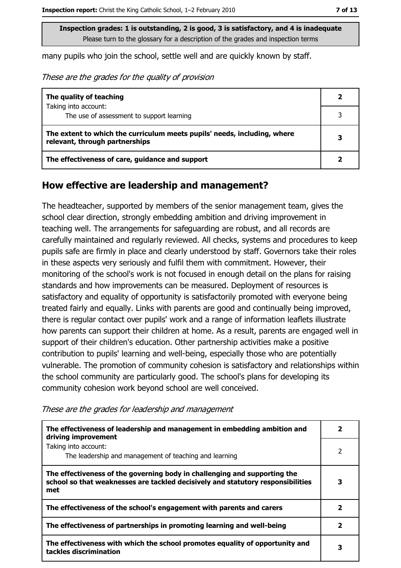many pupils who join the school, settle well and are quickly known by staff.

These are the grades for the quality of provision

| The quality of teaching                                                                                    |  |
|------------------------------------------------------------------------------------------------------------|--|
| Taking into account:<br>The use of assessment to support learning                                          |  |
|                                                                                                            |  |
| The extent to which the curriculum meets pupils' needs, including, where<br>relevant, through partnerships |  |
| The effectiveness of care, guidance and support                                                            |  |

#### How effective are leadership and management?

The headteacher, supported by members of the senior management team, gives the school clear direction, strongly embedding ambition and driving improvement in teaching well. The arrangements for safeguarding are robust, and all records are carefully maintained and regularly reviewed. All checks, systems and procedures to keep pupils safe are firmly in place and clearly understood by staff. Governors take their roles in these aspects very seriously and fulfil them with commitment. However, their monitoring of the school's work is not focused in enough detail on the plans for raising standards and how improvements can be measured. Deployment of resources is satisfactory and equality of opportunity is satisfactorily promoted with everyone being treated fairly and equally. Links with parents are good and continually being improved, there is regular contact over pupils' work and a range of information leaflets illustrate how parents can support their children at home. As a result, parents are engaged well in support of their children's education. Other partnership activities make a positive contribution to pupils' learning and well-being, especially those who are potentially vulnerable. The promotion of community cohesion is satisfactory and relationships within the school community are particularly good. The school's plans for developing its community cohesion work beyond school are well conceived.

These are the grades for leadership and management

| The effectiveness of leadership and management in embedding ambition and<br>driving improvement                                                                     |   |
|---------------------------------------------------------------------------------------------------------------------------------------------------------------------|---|
| Taking into account:<br>The leadership and management of teaching and learning                                                                                      | 2 |
| The effectiveness of the governing body in challenging and supporting the<br>school so that weaknesses are tackled decisively and statutory responsibilities<br>met |   |
| The effectiveness of the school's engagement with parents and carers                                                                                                | 2 |
| The effectiveness of partnerships in promoting learning and well-being                                                                                              |   |
| The effectiveness with which the school promotes equality of opportunity and<br>tackles discrimination                                                              | 3 |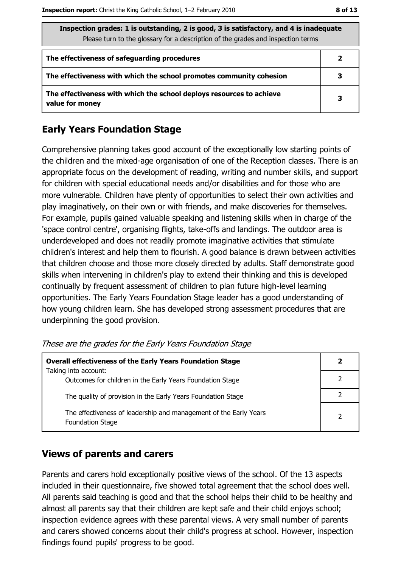| Inspection grades: 1 is outstanding, 2 is good, 3 is satisfactory, and 4 is inadequate<br>Please turn to the glossary for a description of the grades and inspection terms |              |  |
|----------------------------------------------------------------------------------------------------------------------------------------------------------------------------|--------------|--|
| The effectiveness of safeguarding procedures                                                                                                                               | $\mathbf{2}$ |  |
| The effectiveness with which the school promotes community cohesion                                                                                                        |              |  |
| The effectiveness with which the school deploys resources to achieve<br>value for money                                                                                    | 3            |  |

## **Early Years Foundation Stage**

Comprehensive planning takes good account of the exceptionally low starting points of the children and the mixed-age organisation of one of the Reception classes. There is an appropriate focus on the development of reading, writing and number skills, and support for children with special educational needs and/or disabilities and for those who are more vulnerable. Children have plenty of opportunities to select their own activities and play imaginatively, on their own or with friends, and make discoveries for themselves. For example, pupils gained valuable speaking and listening skills when in charge of the 'space control centre', organising flights, take-offs and landings. The outdoor area is underdeveloped and does not readily promote imaginative activities that stimulate children's interest and help them to flourish. A good balance is drawn between activities that children choose and those more closely directed by adults. Staff demonstrate good skills when intervening in children's play to extend their thinking and this is developed continually by frequent assessment of children to plan future high-level learning opportunities. The Early Years Foundation Stage leader has a good understanding of how young children learn. She has developed strong assessment procedures that are underpinning the good provision.

These are the grades for the Early Years Foundation Stage

| <b>Overall effectiveness of the Early Years Foundation Stage</b>                             |  |
|----------------------------------------------------------------------------------------------|--|
| Taking into account:<br>Outcomes for children in the Early Years Foundation Stage            |  |
| The quality of provision in the Early Years Foundation Stage                                 |  |
| The effectiveness of leadership and management of the Early Years<br><b>Foundation Stage</b> |  |

## **Views of parents and carers**

Parents and carers hold exceptionally positive views of the school. Of the 13 aspects included in their questionnaire, five showed total agreement that the school does well. All parents said teaching is good and that the school helps their child to be healthy and almost all parents say that their children are kept safe and their child enjoys school; inspection evidence agrees with these parental views. A very small number of parents and carers showed concerns about their child's progress at school. However, inspection findings found pupils' progress to be good.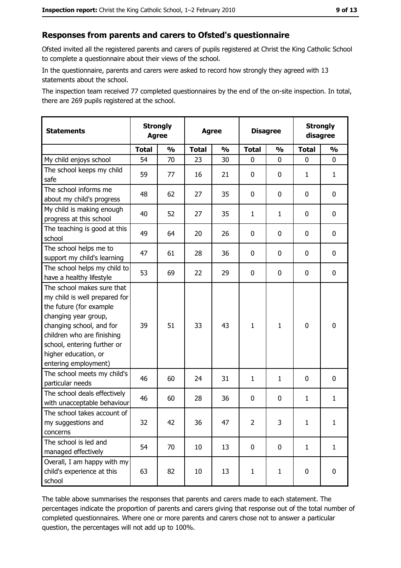# Responses from parents and carers to Ofsted's questionnaire

Ofsted invited all the registered parents and carers of pupils registered at Christ the King Catholic School to complete a questionnaire about their views of the school.

In the questionnaire, parents and carers were asked to record how strongly they agreed with 13 statements about the school.

The inspection team received 77 completed questionnaires by the end of the on-site inspection. In total, there are 269 pupils registered at the school.

| <b>Statements</b>                                                                                                                                                                                                                                       | <b>Strongly</b><br><b>Agree</b> |               | <b>Agree</b> |               | <b>Disagree</b> |               | <b>Strongly</b><br>disagree |               |
|---------------------------------------------------------------------------------------------------------------------------------------------------------------------------------------------------------------------------------------------------------|---------------------------------|---------------|--------------|---------------|-----------------|---------------|-----------------------------|---------------|
|                                                                                                                                                                                                                                                         | <b>Total</b>                    | $\frac{0}{0}$ | <b>Total</b> | $\frac{1}{2}$ | <b>Total</b>    | $\frac{1}{2}$ | <b>Total</b>                | $\frac{1}{2}$ |
| My child enjoys school                                                                                                                                                                                                                                  | 54                              | 70            | 23           | 30            | 0               | 0             | 0                           | 0             |
| The school keeps my child<br>safe                                                                                                                                                                                                                       | 59                              | 77            | 16           | 21            | $\mathbf 0$     | 0             | 1                           | $\mathbf{1}$  |
| The school informs me<br>about my child's progress                                                                                                                                                                                                      | 48                              | 62            | 27           | 35            | $\mathbf 0$     | 0             | 0                           | 0             |
| My child is making enough<br>progress at this school                                                                                                                                                                                                    | 40                              | 52            | 27           | 35            | $\mathbf{1}$    | 1             | 0                           | 0             |
| The teaching is good at this<br>school                                                                                                                                                                                                                  | 49                              | 64            | 20           | 26            | $\mathbf 0$     | 0             | 0                           | 0             |
| The school helps me to<br>support my child's learning                                                                                                                                                                                                   | 47                              | 61            | 28           | 36            | $\mathbf 0$     | 0             | 0                           | 0             |
| The school helps my child to<br>have a healthy lifestyle                                                                                                                                                                                                | 53                              | 69            | 22           | 29            | $\mathbf 0$     | 0             | 0                           | 0             |
| The school makes sure that<br>my child is well prepared for<br>the future (for example<br>changing year group,<br>changing school, and for<br>children who are finishing<br>school, entering further or<br>higher education, or<br>entering employment) | 39                              | 51            | 33           | 43            | $\mathbf{1}$    | $\mathbf{1}$  | 0                           | $\mathbf 0$   |
| The school meets my child's<br>particular needs                                                                                                                                                                                                         | 46                              | 60            | 24           | 31            | $\mathbf{1}$    | $\mathbf{1}$  | 0                           | 0             |
| The school deals effectively<br>with unacceptable behaviour                                                                                                                                                                                             | 46                              | 60            | 28           | 36            | $\mathbf 0$     | 0             | 1                           | $\mathbf{1}$  |
| The school takes account of<br>my suggestions and<br>concerns                                                                                                                                                                                           | 32                              | 42            | 36           | 47            | $\overline{2}$  | 3             | 1                           | $\mathbf{1}$  |
| The school is led and<br>managed effectively                                                                                                                                                                                                            | 54                              | 70            | 10           | 13            | $\mathbf 0$     | 0             | $\mathbf{1}$                | $\mathbf{1}$  |
| Overall, I am happy with my<br>child's experience at this<br>school                                                                                                                                                                                     | 63                              | 82            | 10           | 13            | $\mathbf{1}$    | $\mathbf{1}$  | 0                           | 0             |

The table above summarises the responses that parents and carers made to each statement. The percentages indicate the proportion of parents and carers giving that response out of the total number of completed questionnaires. Where one or more parents and carers chose not to answer a particular question, the percentages will not add up to 100%.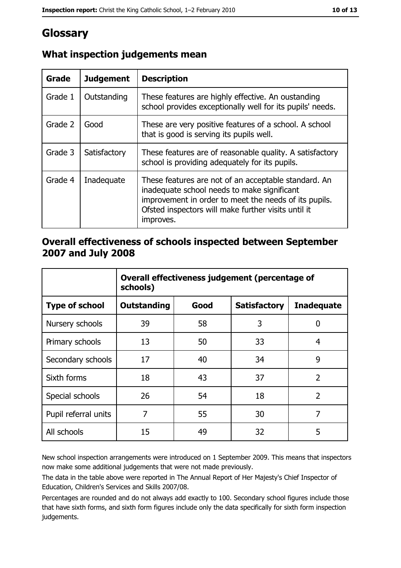# Glossary

| <b>Grade</b> | <b>Judgement</b> | <b>Description</b>                                                                                                                                                                                                               |
|--------------|------------------|----------------------------------------------------------------------------------------------------------------------------------------------------------------------------------------------------------------------------------|
| Grade 1      | Outstanding      | These features are highly effective. An oustanding<br>school provides exceptionally well for its pupils' needs.                                                                                                                  |
| Grade 2      | Good             | These are very positive features of a school. A school<br>that is good is serving its pupils well.                                                                                                                               |
| Grade 3      | Satisfactory     | These features are of reasonable quality. A satisfactory<br>school is providing adequately for its pupils.                                                                                                                       |
| Grade 4      | Inadequate       | These features are not of an acceptable standard. An<br>inadequate school needs to make significant<br>improvement in order to meet the needs of its pupils.<br>Ofsted inspectors will make further visits until it<br>improves. |

# What inspection judgements mean

## Overall effectiveness of schools inspected between September 2007 and July 2008

|                       | Overall effectiveness judgement (percentage of<br>schools) |      |                     |                   |  |
|-----------------------|------------------------------------------------------------|------|---------------------|-------------------|--|
| <b>Type of school</b> | Outstanding                                                | Good | <b>Satisfactory</b> | <b>Inadequate</b> |  |
| Nursery schools       | 39                                                         | 58   | 3                   | 0                 |  |
| Primary schools       | 13                                                         | 50   | 33                  | 4                 |  |
| Secondary schools     | 17                                                         | 40   | 34                  | 9                 |  |
| Sixth forms           | 18                                                         | 43   | 37                  | $\overline{2}$    |  |
| Special schools       | 26                                                         | 54   | 18                  | $\overline{2}$    |  |
| Pupil referral units  | 7                                                          | 55   | 30                  | 7                 |  |
| All schools           | 15                                                         | 49   | 32                  | 5                 |  |

New school inspection arrangements were introduced on 1 September 2009. This means that inspectors now make some additional judgements that were not made previously.

The data in the table above were reported in The Annual Report of Her Majesty's Chief Inspector of Education, Children's Services and Skills 2007/08.

Percentages are rounded and do not always add exactly to 100. Secondary school figures include those that have sixth forms, and sixth form figures include only the data specifically for sixth form inspection judgements.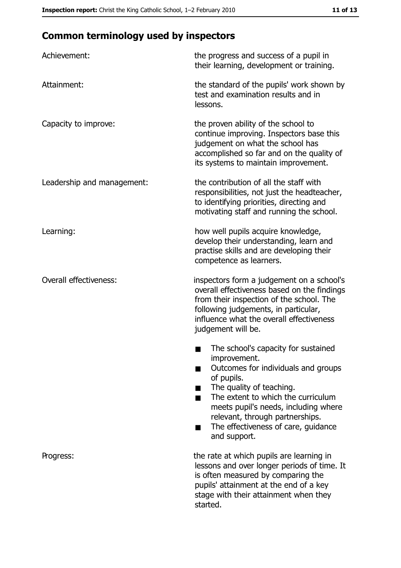# **Common terminology used by inspectors**

| Achievement:               | the progress and success of a pupil in<br>their learning, development or training.                                                                                                                                                                                                                           |
|----------------------------|--------------------------------------------------------------------------------------------------------------------------------------------------------------------------------------------------------------------------------------------------------------------------------------------------------------|
| Attainment:                | the standard of the pupils' work shown by<br>test and examination results and in<br>lessons.                                                                                                                                                                                                                 |
| Capacity to improve:       | the proven ability of the school to<br>continue improving. Inspectors base this<br>judgement on what the school has<br>accomplished so far and on the quality of<br>its systems to maintain improvement.                                                                                                     |
| Leadership and management: | the contribution of all the staff with<br>responsibilities, not just the headteacher,<br>to identifying priorities, directing and<br>motivating staff and running the school.                                                                                                                                |
| Learning:                  | how well pupils acquire knowledge,<br>develop their understanding, learn and<br>practise skills and are developing their<br>competence as learners.                                                                                                                                                          |
| Overall effectiveness:     | inspectors form a judgement on a school's<br>overall effectiveness based on the findings<br>from their inspection of the school. The<br>following judgements, in particular,<br>influence what the overall effectiveness<br>judgement will be.                                                               |
|                            | The school's capacity for sustained<br>improvement.<br>Outcomes for individuals and groups<br>of pupils.<br>The quality of teaching.<br>The extent to which the curriculum<br>meets pupil's needs, including where<br>relevant, through partnerships.<br>The effectiveness of care, guidance<br>and support. |
| Progress:                  | the rate at which pupils are learning in<br>lessons and over longer periods of time. It<br>is often measured by comparing the<br>pupils' attainment at the end of a key<br>stage with their attainment when they<br>started.                                                                                 |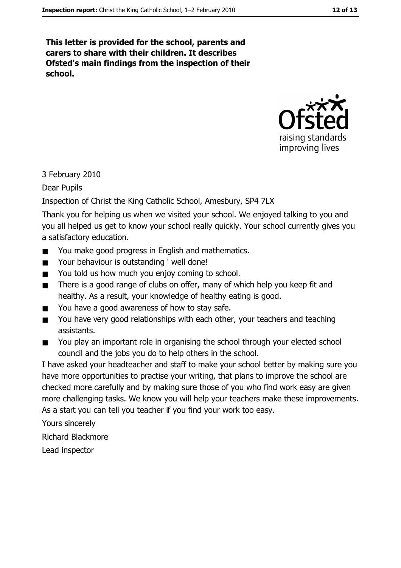This letter is provided for the school, parents and carers to share with their children. It describes Ofsted's main findings from the inspection of their school.



3 February 2010

Dear Pupils

Inspection of Christ the King Catholic School, Amesbury, SP4 7LX

Thank you for helping us when we visited your school. We enjoyed talking to you and you all helped us get to know your school really quickly. Your school currently gives you a satisfactory education.

- You make good progress in English and mathematics.  $\blacksquare$
- Your behaviour is outstanding ' well done!  $\blacksquare$
- You told us how much you enjoy coming to school.  $\blacksquare$
- There is a good range of clubs on offer, many of which help you keep fit and  $\blacksquare$ healthy. As a result, your knowledge of healthy eating is good.
- You have a good awareness of how to stay safe.  $\blacksquare$
- You have very good relationships with each other, your teachers and teaching  $\blacksquare$ assistants.
- You play an important role in organising the school through your elected school  $\blacksquare$ council and the jobs you do to help others in the school.

I have asked your headteacher and staff to make your school better by making sure you have more opportunities to practise your writing, that plans to improve the school are checked more carefully and by making sure those of you who find work easy are given more challenging tasks. We know you will help your teachers make these improvements. As a start you can tell you teacher if you find your work too easy.

Yours sincerely

**Richard Blackmore** 

Lead inspector